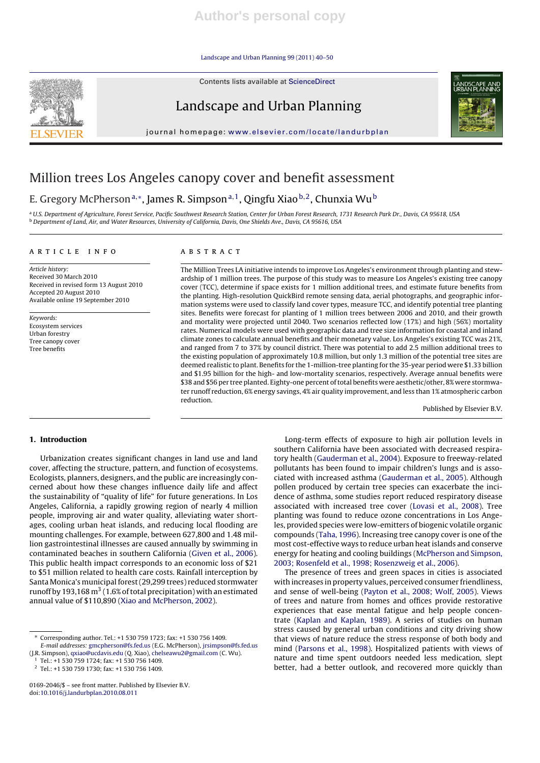Landscape and Urban Planning 99 (2011) 40–50

Contents lists available at ScienceDirect



# Landscape and Urban Planning

journal homepage: www.elsevier.com/locate/landurbplan



# Million trees Los Angeles canopy cover and benefit assessment

## E. Gregory McPherson<sup>a,∗</sup>, James R. Simpson<sup>a,1</sup>, Qingfu Xiao<sup>b,2</sup>, Chunxia Wu<sup>b</sup>

a U.S. Department of Agriculture, Forest Service, Pacific Southwest Research Station, Center for Urban Forest Research, 1731 Research Park Dr., Davis, CA 95618, USA **b Department of Land, Air, and Water Resources, University of California, Davis, One Shields Ave., Davis, CA 95616, USA** 

## article info

Article history: Received 30 March 2010 Received in revised form 13 August 2010 Accepted 20 August 2010 Available online 19 September 2010

Keywords: Ecosystem services Urban forestry Tree canopy cover Tree benefits

## ABSTRACT

The Million Trees LA initiative intends to improve Los Angeles's environment through planting and stewardship of 1 million trees. The purpose of this study was to measure Los Angeles's existing tree canopy cover (TCC), determine if space exists for 1 million additional trees, and estimate future benefits from the planting. High-resolution QuickBird remote sensing data, aerial photographs, and geographic information systems were used to classify land cover types, measure TCC, and identify potential tree planting sites. Benefits were forecast for planting of 1 million trees between 2006 and 2010, and their growth and mortality were projected until 2040. Two scenarios reflected low (17%) and high (56%) mortality rates. Numerical models were used with geographic data and tree size information for coastal and inland climate zones to calculate annual benefits and their monetary value. Los Angeles's existing TCC was 21%, and ranged from 7 to 37% by council district. There was potential to add 2.5 million additional trees to the existing population of approximately 10.8 million, but only 1.3 million of the potential tree sites are deemed realistic to plant. Benefits for the 1-million-tree planting for the 35-year period were \$1.33 billion and \$1.95 billion for the high- and low-mortality scenarios, respectively. Average annual benefits were \$38 and \$56 per tree planted. Eighty-one percent of total benefits were aesthetic/other, 8% were stormwater runoff reduction, 6% energy savings, 4% air quality improvement, and less than 1% atmospheric carbon reduction.

Published by Elsevier B.V.

## **1. Introduction**

Urbanization creates significant changes in land use and land cover, affecting the structure, pattern, and function of ecosystems. Ecologists, planners, designers, and the public are increasingly concerned about how these changes influence daily life and affect the sustainability of "quality of life" for future generations. In Los Angeles, California, a rapidly growing region of nearly 4 million people, improving air and water quality, alleviating water shortages, cooling urban heat islands, and reducing local flooding are mounting challenges. For example, between 627,800 and 1.48 million gastrointestinal illnesses are caused annually by swimming in contaminated beaches in southern California (Given et al., 2006). This public health impact corresponds to an economic loss of \$21 to \$51 million related to health care costs. Rainfall interception by Santa Monica's municipal forest (29,299 trees) reduced stormwater runoff by 193,168 m<sup>3</sup> (1.6% of total precipitation) with an estimated annual value of \$110,890 (Xiao and McPherson, 2002).

Long-term effects of exposure to high air pollution levels in southern California have been associated with decreased respiratory health (Gauderman et al., 2004). Exposure to freeway-related pollutants has been found to impair children's lungs and is associated with increased asthma (Gauderman et al., 2005). Although pollen produced by certain tree species can exacerbate the incidence of asthma, some studies report reduced respiratory disease associated with increased tree cover (Lovasi et al., 2008). Tree planting was found to reduce ozone concentrations in Los Angeles, provided species were low-emitters of biogenic volatile organic compounds (Taha, 1996). Increasing tree canopy cover is one of the most cost-effective ways to reduce urban heat islands and conserve energy for heating and cooling buildings (McPherson and Simpson, 2003; Rosenfeld et al., 1998; Rosenzweig et al., 2006).

The presence of trees and green spaces in cities is associated with increases in property values, perceived consumer friendliness, and sense of well-being (Payton et al., 2008; Wolf, 2005). Views of trees and nature from homes and offices provide restorative experiences that ease mental fatigue and help people concentrate (Kaplan and Kaplan, 1989). A series of studies on human stress caused by general urban conditions and city driving show that views of nature reduce the stress response of both body and mind (Parsons et al., 1998). Hospitalized patients with views of nature and time spent outdoors needed less medication, slept better, had a better outlook, and recovered more quickly than

<sup>∗</sup> Corresponding author. Tel.: +1 530 759 1723; fax: +1 530 756 1409. E-mail addresses: gmcpherson@fs.fed.us (E.G. McPherson), jrsimpson@fs.fed.us

<sup>(</sup>J.R. Simpson), qxiao@ucdavis.edu (Q. Xiao), chelseawu2@gmail.com (C. Wu). Tel.: +1 530 759 1724; fax: +1 530 756 1409.

<sup>2</sup> Tel.: +1 530 759 1730; fax: +1 530 756 1409.

<sup>0169-2046/\$ –</sup> see front matter. Published by Elsevier B.V. doi:10.1016/j.landurbplan.2010.08.011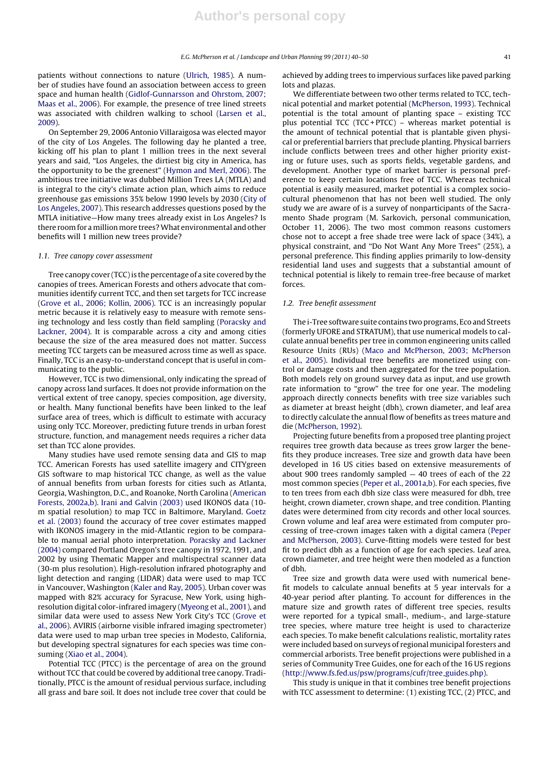patients without connections to nature (Ulrich, 1985). A number of studies have found an association between access to green space and human health (Gidlof-Gunnarsson and Ohrstom, 2007; Maas et al., 2006). For example, the presence of tree lined streets was associated with children walking to school (Larsen et al., 2009).

On September 29, 2006 Antonio Villaraigosa was elected mayor of the city of Los Angeles. The following day he planted a tree, kicking off his plan to plant 1 million trees in the next several years and said, "Los Angeles, the dirtiest big city in America, has the opportunity to be the greenest" (Hymon and Merl, 2006). The ambitious tree initiative was dubbed Million Trees LA (MTLA) and is integral to the city's climate action plan, which aims to reduce greenhouse gas emissions 35% below 1990 levels by 2030 (City of Los Angeles, 2007). This research addresses questions posed by the MTLA initiative—How many trees already exist in Los Angeles? Is there room for a million more trees? What environmental and other benefits will 1 million new trees provide?

#### 1.1. Tree canopy cover assessment

Tree canopy cover (TCC) is the percentage of a site covered by the canopies of trees. American Forests and others advocate that communities identify current TCC, and then set targets for TCC increase (Grove et al., 2006; Kollin, 2006). TCC is an increasingly popular metric because it is relatively easy to measure with remote sensing technology and less costly than field sampling (Poracsky and Lackner, 2004). It is comparable across a city and among cities because the size of the area measured does not matter. Success meeting TCC targets can be measured across time as well as space. Finally, TCC is an easy-to-understand concept that is useful in communicating to the public.

However, TCC is two dimensional, only indicating the spread of canopy across land surfaces. It does not provide information on the vertical extent of tree canopy, species composition, age diversity, or health. Many functional benefits have been linked to the leaf surface area of trees, which is difficult to estimate with accuracy using only TCC. Moreover, predicting future trends in urban forest structure, function, and management needs requires a richer data set than TCC alone provides.

Many studies have used remote sensing data and GIS to map TCC. American Forests has used satellite imagery and CITYgreen GIS software to map historical TCC change, as well as the value of annual benefits from urban forests for cities such as Atlanta, Georgia, Washington, D.C., and Roanoke, North Carolina (American Forests, 2002a,b). Irani and Galvin (2003) used IKONOS data (10 m spatial resolution) to map TCC in Baltimore, Maryland. Goetz et al. (2003) found the accuracy of tree cover estimates mapped with IKONOS imagery in the mid-Atlantic region to be comparable to manual aerial photo interpretation. Poracsky and Lackner (2004) compared Portland Oregon's tree canopy in 1972, 1991, and 2002 by using Thematic Mapper and multispectral scanner data (30-m plus resolution). High-resolution infrared photography and light detection and ranging (LIDAR) data were used to map TCC in Vancouver, Washington (Kaler and Ray, 2005). Urban cover was mapped with 82% accuracy for Syracuse, New York, using highresolution digital color-infrared imagery (Myeong et al., 2001), and similar data were used to assess New York City's TCC (Grove et al., 2006). AVIRIS (airborne visible infrared imaging spectrometer) data were used to map urban tree species in Modesto, California, but developing spectral signatures for each species was time consuming (Xiao et al., 2004).

Potential TCC (PTCC) is the percentage of area on the ground without TCC that could be covered by additional tree canopy. Traditionally, PTCC is the amount of residual pervious surface, including all grass and bare soil. It does not include tree cover that could be achieved by adding trees to impervious surfaces like paved parking lots and plazas.

We differentiate between two other terms related to TCC, technical potential and market potential (McPherson, 1993). Technical potential is the total amount of planting space – existing TCC plus potential TCC (TCC + PTCC) – whereas market potential is the amount of technical potential that is plantable given physical or preferential barriers that preclude planting. Physical barriers include conflicts between trees and other higher priority existing or future uses, such as sports fields, vegetable gardens, and development. Another type of market barrier is personal preference to keep certain locations free of TCC. Whereas technical potential is easily measured, market potential is a complex sociocultural phenomenon that has not been well studied. The only study we are aware of is a survey of nonparticipants of the Sacramento Shade program (M. Sarkovich, personal communication, October 11, 2006). The two most common reasons customers chose not to accept a free shade tree were lack of space (34%), a physical constraint, and "Do Not Want Any More Trees" (25%), a personal preference. This finding applies primarily to low-density residential land uses and suggests that a substantial amount of technical potential is likely to remain tree-free because of market forces.

## 1.2. Tree benefit assessment

The i-Tree software suite contains two programs, Eco and Streets (formerly UFORE and STRATUM), that use numerical models to calculate annual benefits per tree in common engineering units called Resource Units (RUs) (Maco and McPherson, 2003; McPherson et al., 2005). Individual tree benefits are monetized using control or damage costs and then aggregated for the tree population. Both models rely on ground survey data as input, and use growth rate information to "grow" the tree for one year. The modeling approach directly connects benefits with tree size variables such as diameter at breast height (dbh), crown diameter, and leaf area to directly calculate the annual flow of benefits as trees mature and die (McPherson, 1992).

Projecting future benefits from a proposed tree planting project requires tree growth data because as trees grow larger the benefits they produce increases. Tree size and growth data have been developed in 16 US cities based on extensive measurements of about 900 trees randomly sampled — 40 trees of each of the 22 most common species (Peper et al., 2001a,b). For each species, five to ten trees from each dbh size class were measured for dbh, tree height, crown diameter, crown shape, and tree condition. Planting dates were determined from city records and other local sources. Crown volume and leaf area were estimated from computer processing of tree-crown images taken with a digital camera (Peper and McPherson, 2003). Curve-fitting models were tested for best fit to predict dbh as a function of age for each species. Leaf area, crown diameter, and tree height were then modeled as a function of dbh.

Tree size and growth data were used with numerical benefit models to calculate annual benefits at 5 year intervals for a 40-year period after planting. To account for differences in the mature size and growth rates of different tree species, results were reported for a typical small-, medium-, and large-stature tree species, where mature tree height is used to characterize each species. To make benefit calculations realistic, mortality rates were included based on surveys of regional municipal foresters and commercial arborists. Tree benefit projections were published in a series of Community Tree Guides, one for each of the 16 US regions (http://www.fs.fed.us/psw/programs/cufr/tree guides.php).

This study is unique in that it combines tree benefit projections with TCC assessment to determine: (1) existing TCC, (2) PTCC, and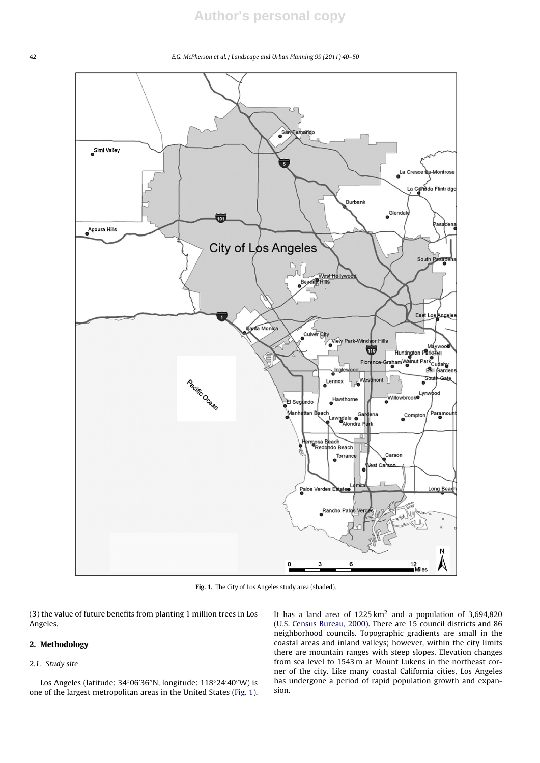## **Author's personal copy**

42 E.G. McPherson et al. / Landscape and Urban Planning *99 (2011) 40–50*



**Fig. 1.** The City of Los Angeles study area (shaded).

(3) the value of future benefits from planting 1 million trees in Los Angeles.

## **2. Methodology**

## 2.1. Study site

Los Angeles (latitude: 34°06′36″N, longitude: 118°24′40″W) is one of the largest metropolitan areas in the United States (Fig. 1).

It has a land area of  $1225 \text{ km}^2$  and a population of  $3,694,820$ (U.S. Census Bureau, 2000). There are 15 council districts and 86 neighborhood councils. Topographic gradients are small in the coastal areas and inland valleys; however, within the city limits there are mountain ranges with steep slopes. Elevation changes from sea level to 1543 m at Mount Lukens in the northeast corner of the city. Like many coastal California cities, Los Angeles has undergone a period of rapid population growth and expansion.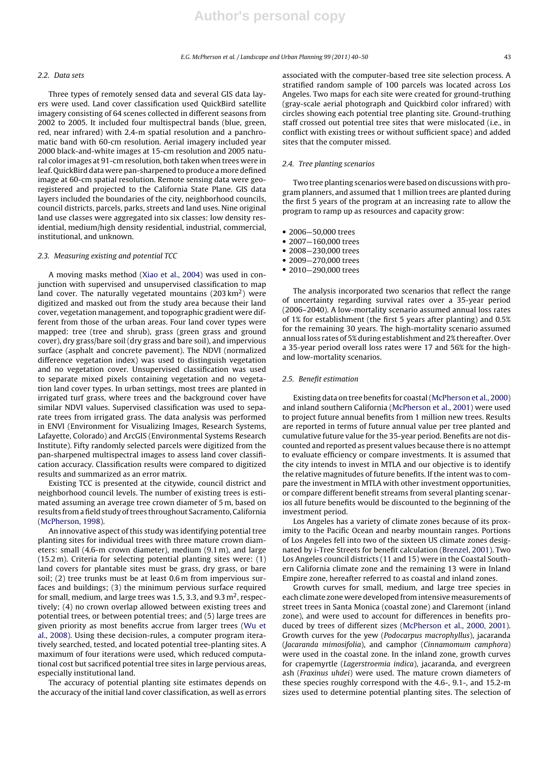## 2.2. Data sets

Three types of remotely sensed data and several GIS data layers were used. Land cover classification used QuickBird satellite imagery consisting of 64 scenes collected in different seasons from 2002 to 2005. It included four multispectral bands (blue, green, red, near infrared) with 2.4-m spatial resolution and a panchromatic band with 60-cm resolution. Aerial imagery included year 2000 black-and-white images at 15-cm resolution and 2005 natural color images at 91-cm resolution, both taken when trees were in leaf. QuickBird data were pan-sharpened to produce a more defined image at 60-cm spatial resolution. Remote sensing data were georegistered and projected to the California State Plane. GIS data layers included the boundaries of the city, neighborhood councils, council districts, parcels, parks, streets and land uses. Nine original land use classes were aggregated into six classes: low density residential, medium/high density residential, industrial, commercial, institutional, and unknown.

#### 2.3. Measuring existing and potential TCC

A moving masks method (Xiao et al., 2004) was used in conjunction with supervised and unsupervised classification to map land cover. The naturally vegetated mountains  $(203 \text{ km}^2)$  were digitized and masked out from the study area because their land cover, vegetation management, and topographic gradient were different from those of the urban areas. Four land cover types were mapped: tree (tree and shrub), grass (green grass and ground cover), dry grass/bare soil (dry grass and bare soil), and impervious surface (asphalt and concrete pavement). The NDVI (normalized difference vegetation index) was used to distinguish vegetation and no vegetation cover. Unsupervised classification was used to separate mixed pixels containing vegetation and no vegetation land cover types. In urban settings, most trees are planted in irrigated turf grass, where trees and the background cover have similar NDVI values. Supervised classification was used to separate trees from irrigated grass. The data analysis was performed in ENVI (Environment for Visualizing Images, Research Systems, Lafayette, Colorado) and ArcGIS (Environmental Systems Research Institute). Fifty randomly selected parcels were digitized from the pan-sharpened multispectral images to assess land cover classification accuracy. Classification results were compared to digitized results and summarized as an error matrix.

Existing TCC is presented at the citywide, council district and neighborhood council levels. The number of existing trees is estimated assuming an average tree crown diameter of 5 m, based on results from a field study of trees throughout Sacramento, California (McPherson, 1998).

An innovative aspect of this study was identifying potential tree planting sites for individual trees with three mature crown diameters: small (4.6-m crown diameter), medium (9.1 m), and large (15.2 m). Criteria for selecting potential planting sites were: (1) land covers for plantable sites must be grass, dry grass, or bare soil; (2) tree trunks must be at least 0.6 m from impervious surfaces and buildings; (3) the minimum pervious surface required for small, medium, and large trees was 1.5, 3.3, and 9.3  $m<sup>2</sup>$ , respectively; (4) no crown overlap allowed between existing trees and potential trees, or between potential trees; and (5) large trees are given priority as most benefits accrue from larger trees (Wu et al., 2008). Using these decision-rules, a computer program iteratively searched, tested, and located potential tree-planting sites. A maximum of four iterations were used, which reduced computational cost but sacrificed potential tree sites in large pervious areas, especially institutional land.

The accuracy of potential planting site estimates depends on the accuracy of the initial land cover classification, as well as errors associated with the computer-based tree site selection process. A stratified random sample of 100 parcels was located across Los Angeles. Two maps for each site were created for ground-truthing (gray-scale aerial photograph and Quickbird color infrared) with circles showing each potential tree planting site. Ground-truthing staff crossed out potential tree sites that were mislocated (i.e., in conflict with existing trees or without sufficient space) and added sites that the computer missed.

## 2.4. Tree planting scenarios

Two tree planting scenarios were based on discussions with program planners, and assumed that 1 million trees are planted during the first 5 years of the program at an increasing rate to allow the program to ramp up as resources and capacity grow:

- 2006—50,000 trees
- 2007—160,000 trees
- 2008—230,000 trees
- 2009—270,000 trees
- 2010—290,000 trees

The analysis incorporated two scenarios that reflect the range of uncertainty regarding survival rates over a 35-year period (2006–2040). A low-mortality scenario assumed annual loss rates of 1% for establishment (the first 5 years after planting) and 0.5% for the remaining 30 years. The high-mortality scenario assumed annual loss rates of 5% during establishment and 2% thereafter. Over a 35-year period overall loss rates were 17 and 56% for the highand low-mortality scenarios.

## 2.5. Benefit estimation

Existing data on tree benefits for coastal (McPherson et al., 2000) and inland southern California (McPherson et al., 2001) were used to project future annual benefits from 1 million new trees. Results are reported in terms of future annual value per tree planted and cumulative future value for the 35-year period. Benefits are not discounted and reported as present values because there is no attempt to evaluate efficiency or compare investments. It is assumed that the city intends to invest in MTLA and our objective is to identify the relative magnitudes of future benefits. If the intent was to compare the investment in MTLA with other investment opportunities, or compare different benefit streams from several planting scenarios all future benefits would be discounted to the beginning of the investment period.

Los Angeles has a variety of climate zones because of its proximity to the Pacific Ocean and nearby mountain ranges. Portions of Los Angeles fell into two of the sixteen US climate zones designated by i-Tree Streets for benefit calculation (Brenzel, 2001). Two Los Angeles council districts (11 and 15) were in the Coastal Southern California climate zone and the remaining 13 were in Inland Empire zone, hereafter referred to as coastal and inland zones.

Growth curves for small, medium, and large tree species in each climate zone were developed from intensive measurements of street trees in Santa Monica (coastal zone) and Claremont (inland zone), and were used to account for differences in benefits produced by trees of different sizes (McPherson et al., 2000, 2001). Growth curves for the yew (Podocarpus macrophyllus), jacaranda (Jacaranda mimosifolia), and camphor (Cinnamomum camphora) were used in the coastal zone. In the inland zone, growth curves for crapemyrtle (Lagerstroemia indica), jacaranda, and evergreen ash (Fraxinus uhdei) were used. The mature crown diameters of these species roughly correspond with the 4.6-, 9.1-, and 15.2-m sizes used to determine potential planting sites. The selection of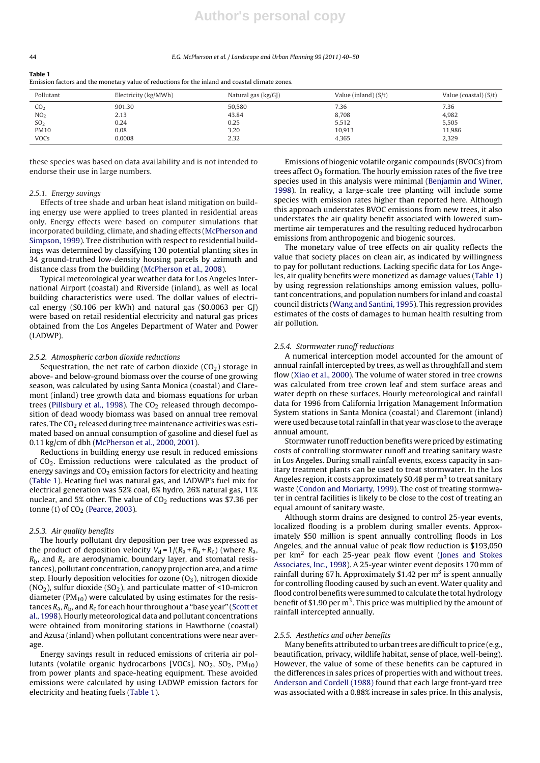## **Author's personal copy**

#### 44 E.G. McPherson et al. / Landscape and Urban Planning *99 (2011) 40–50*

| н<br><br>۰ |  |
|------------|--|

Emission factors and the monetary value of reductions for the inland and coastal climate zones.

| Pollutant       | Electricity (kg/MWh) | Natural gas $(kg/G)$ | Value (inland) $(S/t)$ | Value (coastal) $(S/t)$ |
|-----------------|----------------------|----------------------|------------------------|-------------------------|
| CO <sub>2</sub> | 901.30               | 50,580               | 7.36                   | 7.36                    |
| NO <sub>2</sub> | 2.13                 | 43.84                | 8,708                  | 4,982                   |
| SO <sub>2</sub> | 0.24                 | 0.25                 | 5,512                  | 5,505                   |
| <b>PM10</b>     | 0.08                 | 3.20                 | 10,913                 | 11,986                  |
| <b>VOCs</b>     | 0.0008               | 2.32                 | 4,365                  | 2,329                   |

these species was based on data availability and is not intended to endorse their use in large numbers.

## 2.5.1. Energy savings

Effects of tree shade and urban heat island mitigation on building energy use were applied to trees planted in residential areas only. Energy effects were based on computer simulations that incorporated building, climate, and shading effects (McPherson and Simpson, 1999). Tree distribution with respect to residential buildings was determined by classifying 130 potential planting sites in 34 ground-truthed low-density housing parcels by azimuth and distance class from the building (McPherson et al., 2008).

Typical meteorological year weather data for Los Angeles International Airport (coastal) and Riverside (inland), as well as local building characteristics were used. The dollar values of electrical energy (\$0.106 per kWh) and natural gas (\$0.0063 per GJ) were based on retail residential electricity and natural gas prices obtained from the Los Angeles Department of Water and Power (LADWP).

## 2.5.2. Atmospheric carbon dioxide reductions

Sequestration, the net rate of carbon dioxide  $(CO<sub>2</sub>)$  storage in above- and below-ground biomass over the course of one growing season, was calculated by using Santa Monica (coastal) and Claremont (inland) tree growth data and biomass equations for urban trees (Pillsbury et al., 1998). The  $CO<sub>2</sub>$  released through decomposition of dead woody biomass was based on annual tree removal rates. The  $CO<sub>2</sub>$  released during tree maintenance activities was estimated based on annual consumption of gasoline and diesel fuel as 0.11 kg/cm of dbh (McPherson et al., 2000, 2001).

Reductions in building energy use result in reduced emissions of  $CO<sub>2</sub>$ . Emission reductions were calculated as the product of energy savings and  $CO<sub>2</sub>$  emission factors for electricity and heating (Table 1). Heating fuel was natural gas, and LADWP's fuel mix for electrical generation was 52% coal, 6% hydro, 26% natural gas, 11% nuclear, and 5% other. The value of  $CO<sub>2</sub>$  reductions was \$7.36 per tonne (t) of  $CO<sub>2</sub>$  (Pearce, 2003).

### 2.5.3. Air quality benefits

The hourly pollutant dry deposition per tree was expressed as the product of deposition velocity  $V_d = 1/(R_a + R_b + R_c)$  (where  $R_a$ ,  $R<sub>b</sub>$ , and  $R<sub>c</sub>$  are aerodynamic, boundary layer, and stomatal resistances), pollutant concentration, canopy projection area, and a time step. Hourly deposition velocities for ozone  $(O_3)$ , nitrogen dioxide  $(NO<sub>2</sub>)$ , sulfur dioxide  $(SO<sub>2</sub>)$ , and particulate matter of <10-micron diameter ( $PM_{10}$ ) were calculated by using estimates for the resistances  $R_a$ ,  $R_b$ , and  $R_c$  for each hour throughout a "base year" (Scott et al., 1998). Hourly meteorological data and pollutant concentrations were obtained from monitoring stations in Hawthorne (coastal) and Azusa (inland) when pollutant concentrations were near average.

Energy savings result in reduced emissions of criteria air pollutants (volatile organic hydrocarbons [VOCs],  $NO<sub>2</sub>$ ,  $SO<sub>2</sub>$ ,  $PM<sub>10</sub>$ ) from power plants and space-heating equipment. These avoided emissions were calculated by using LADWP emission factors for electricity and heating fuels (Table 1).

Emissions of biogenic volatile organic compounds (BVOCs) from trees affect  $O_3$  formation. The hourly emission rates of the five tree species used in this analysis were minimal (Benjamin and Winer, 1998). In reality, a large-scale tree planting will include some species with emission rates higher than reported here. Although this approach understates BVOC emissions from new trees, it also understates the air quality benefit associated with lowered summertime air temperatures and the resulting reduced hydrocarbon emissions from anthropogenic and biogenic sources.

The monetary value of tree effects on air quality reflects the value that society places on clean air, as indicated by willingness to pay for pollutant reductions. Lacking specific data for Los Angeles, air quality benefits were monetized as damage values (Table 1) by using regression relationships among emission values, pollutant concentrations, and population numbers for inland and coastal council districts (Wang and Santini, 1995). This regression provides estimates of the costs of damages to human health resulting from air pollution.

#### 2.5.4. Stormwater runoff reductions

A numerical interception model accounted for the amount of annual rainfall intercepted by trees, as well as throughfall and stem flow (Xiao et al., 2000). The volume of water stored in tree crowns was calculated from tree crown leaf and stem surface areas and water depth on these surfaces. Hourly meteorological and rainfall data for 1996 from California Irrigation Management Information System stations in Santa Monica (coastal) and Claremont (inland) were used because total rainfall in that year was close to the average annual amount.

Stormwater runoff reduction benefits were priced by estimating costs of controlling stormwater runoff and treating sanitary waste in Los Angeles. During small rainfall events, excess capacity in sanitary treatment plants can be used to treat stormwater. In the Los Angeles region, it costs approximately \$0.48 per  $m<sup>3</sup>$  to treat sanitary waste (Condon and Moriarty, 1999). The cost of treating stormwater in central facilities is likely to be close to the cost of treating an equal amount of sanitary waste.

Although storm drains are designed to control 25-year events, localized flooding is a problem during smaller events. Approximately \$50 million is spent annually controlling floods in Los Angeles, and the annual value of peak flow reduction is \$193,050 per km2 for each 25-year peak flow event (Jones and Stokes Associates, Inc., 1998). A 25-year winter event deposits 170 mm of rainfall during 67 h. Approximately \$1.42 per  $m<sup>3</sup>$  is spent annually for controlling flooding caused by such an event. Water quality and flood control benefits were summed to calculate the total hydrology benefit of \$1.90 per  $m<sup>3</sup>$ . This price was multiplied by the amount of rainfall intercepted annually.

### 2.5.5. Aesthetics and other benefits

Many benefits attributed to urban trees are difficult to price (e.g., beautification, privacy, wildlife habitat, sense of place, well-being). However, the value of some of these benefits can be captured in the differences in sales prices of properties with and without trees. Anderson and Cordell (1988) found that each large front-yard tree was associated with a 0.88% increase in sales price. In this analysis,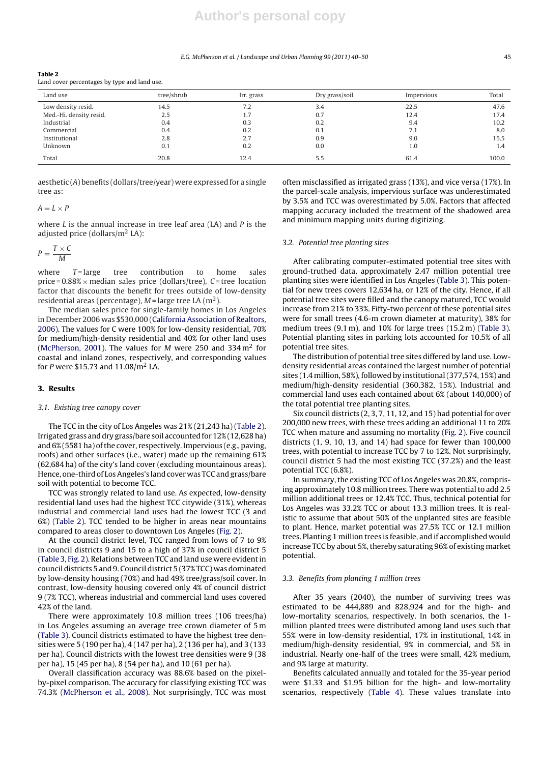| Table 2                                      |
|----------------------------------------------|
| Land cover percentages by type and land use. |

| Land use                | tree/shrub | Irr. grass | Dry grass/soil | Impervious | Total |
|-------------------------|------------|------------|----------------|------------|-------|
| Low density resid.      | 14.5       | 7.2        | 3.4            | 22.5       | 47.6  |
| Med.-Hi. density resid. | 2.5        | 1.7        | 0.7            | 12.4       | 17.4  |
| Industrial              | 0.4        | 0.3        | 0.2            | 9.4        | 10.2  |
| Commercial              | 0.4        | 0.2        | 0.1            | 7.1        | 8.0   |
| Institutional           | 2.8        | 2.7        | 0.9            | 9.0        | 15.5  |
| Unknown                 | 0.1        | 0.2        | 0.0            | 1.0        | 1.4   |
| Total                   | 20.8       | 12.4       | 5.5            | 61.4       | 100.0 |

aesthetic (A) benefits (dollars/tree/year) were expressed for a single tree as:

where  $L$  is the annual increase in tree leaf area (LA) and  $P$  is the adjusted price (dollars/ $m^2$  LA):

$$
P = \frac{T \times C}{M}
$$

where  $T = \text{large}$  tree contribution to home sales price =  $0.88\%$  × median sales price (dollars/tree), C = tree location factor that discounts the benefit for trees outside of low-density residential areas (percentage),  $M$  = large tree LA (m<sup>2</sup>).

The median sales price for single-family homes in Los Angeles in December 2006 was \$530,000 (California Association of Realtors, 2006). The values for C were 100% for low-density residential, 70% for medium/high-density residential and 40% for other land uses (McPherson, 2001). The values for M were 250 and 334 $m<sup>2</sup>$  for coastal and inland zones, respectively, and corresponding values for *P* were \$15.73 and  $11.08/m<sup>2</sup>$  LA.

### **3. Results**

### 3.1. Existing tree canopy cover

The TCC in the city of Los Angeles was 21% (21,243 ha) (Table 2). Irrigated grass and dry grass/bare soil accounted for 12% (12,628 ha) and 6% (5581 ha) of the cover, respectively. Impervious (e.g., paving, roofs) and other surfaces (i.e., water) made up the remaining 61% (62,684 ha) of the city's land cover (excluding mountainous areas). Hence, one-third of Los Angeles's land cover was TCC and grass/bare soil with potential to become TCC.

TCC was strongly related to land use. As expected, low-density residential land uses had the highest TCC citywide (31%), whereas industrial and commercial land uses had the lowest TCC (3 and 6%) (Table 2). TCC tended to be higher in areas near mountains compared to areas closer to downtown Los Angeles (Fig. 2).

At the council district level, TCC ranged from lows of 7 to 9% in council districts 9 and 15 to a high of 37% in council district 5 (Table 3, Fig. 2). Relations between TCC and land use were evident in council districts 5 and 9. Council district 5 (37% TCC) was dominated by low-density housing (70%) and had 49% tree/grass/soil cover. In contrast, low-density housing covered only 4% of council district 9 (7% TCC), whereas industrial and commercial land uses covered 42% of the land.

There were approximately 10.8 million trees (106 trees/ha) in Los Angeles assuming an average tree crown diameter of 5 m (Table 3). Council districts estimated to have the highest tree densities were 5 (190 per ha), 4 (147 per ha), 2 (136 per ha), and 3 (133 per ha). Council districts with the lowest tree densities were 9 (38 per ha), 15 (45 per ha), 8 (54 per ha), and 10 (61 per ha).

Overall classification accuracy was 88.6% based on the pixelby-pixel comparison. The accuracy for classifying existing TCC was 74.3% (McPherson et al., 2008). Not surprisingly, TCC was most often misclassified as irrigated grass (13%), and vice versa (17%). In the parcel-scale analysis, impervious surface was underestimated by 3.5% and TCC was overestimated by 5.0%. Factors that affected mapping accuracy included the treatment of the shadowed area and minimum mapping units during digitizing.

## 3.2. Potential tree planting sites

After calibrating computer-estimated potential tree sites with ground-truthed data, approximately 2.47 million potential tree planting sites were identified in Los Angeles (Table 3). This potential for new trees covers 12,634 ha, or 12% of the city. Hence, if all potential tree sites were filled and the canopy matured, TCC would increase from 21% to 33%. Fifty-two percent of these potential sites were for small trees (4.6-m crown diameter at maturity), 38% for medium trees (9.1 m), and 10% for large trees (15.2 m) (Table 3). Potential planting sites in parking lots accounted for 10.5% of all potential tree sites.

The distribution of potential tree sites differed by land use. Lowdensity residential areas contained the largest number of potential sites (1.4 million, 58%), followed by institutional (377,574, 15%) and medium/high-density residential (360,382, 15%). Industrial and commercial land uses each contained about 6% (about 140,000) of the total potential tree planting sites.

Six council districts (2, 3, 7, 11, 12, and 15) had potential for over 200,000 new trees, with these trees adding an additional 11 to 20% TCC when mature and assuming no mortality (Fig. 2). Five council districts (1, 9, 10, 13, and 14) had space for fewer than 100,000 trees, with potential to increase TCC by 7 to 12%. Not surprisingly, council district 5 had the most existing TCC (37.2%) and the least potential TCC (6.8%).

In summary, the existing TCC of Los Angeles was 20.8%, comprising approximately 10.8 million trees. There was potential to add 2.5 million additional trees or 12.4% TCC. Thus, technical potential for Los Angeles was 33.2% TCC or about 13.3 million trees. It is realistic to assume that about 50% of the unplanted sites are feasible to plant. Hence, market potential was 27.5% TCC or 12.1 million trees. Planting 1 million trees is feasible, and if accomplished would increase TCC by about 5%, thereby saturating 96% of existing market potential.

## 3.3. Benefits from planting 1 million trees

After 35 years (2040), the number of surviving trees was estimated to be 444,889 and 828,924 and for the high- and low-mortality scenarios, respectively. In both scenarios, the 1 million planted trees were distributed among land uses such that 55% were in low-density residential, 17% in institutional, 14% in medium/high-density residential, 9% in commercial, and 5% in industrial. Nearly one-half of the trees were small, 42% medium, and 9% large at maturity.

Benefits calculated annually and totaled for the 35-year period were \$1.33 and \$1.95 billion for the high- and low-mortality scenarios, respectively (Table 4). These values translate into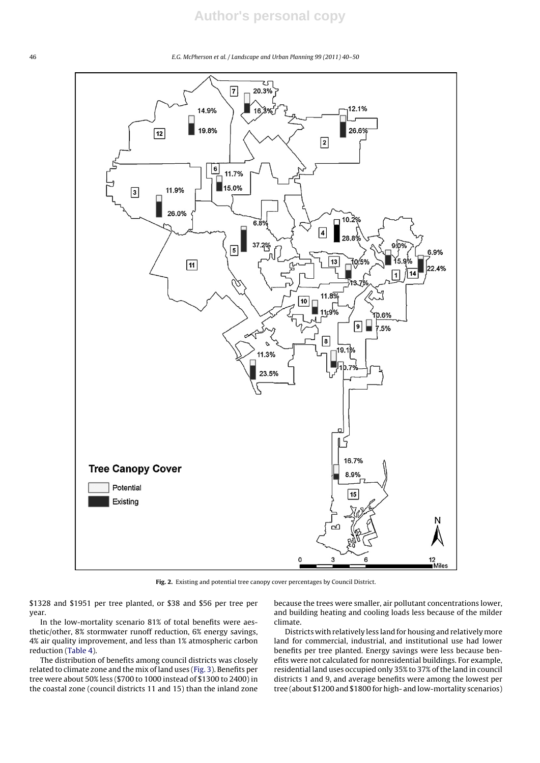46 E.G. McPherson et al. / Landscape and Urban Planning *99 (2011) 40–50*



**Fig. 2.** Existing and potential tree canopy cover percentages by Council District.

\$1328 and \$1951 per tree planted, or \$38 and \$56 per tree per year.

In the low-mortality scenario 81% of total benefits were aesthetic/other, 8% stormwater runoff reduction, 6% energy savings, 4% air quality improvement, and less than 1% atmospheric carbon reduction (Table 4).

The distribution of benefits among council districts was closely related to climate zone and the mix of land uses (Fig. 3). Benefits per tree were about 50% less (\$700 to 1000 instead of \$1300 to 2400) in the coastal zone (council districts 11 and 15) than the inland zone because the trees were smaller, air pollutant concentrations lower, and building heating and cooling loads less because of the milder climate.

Districts with relatively less land for housing and relativelymore land for commercial, industrial, and institutional use had lower benefits per tree planted. Energy savings were less because benefits were not calculated for nonresidential buildings. For example, residential land uses occupied only 35% to 37% of the land in council districts 1 and 9, and average benefits were among the lowest per tree (about \$1200 and \$1800 for high- and low-mortality scenarios)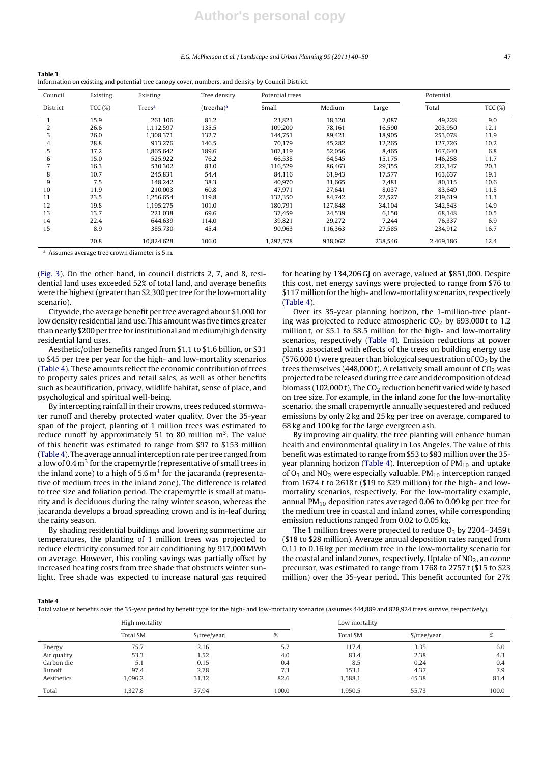| Council  | Existing | Existing           | Tree density           | Potential trees |         |         | Potential |        |
|----------|----------|--------------------|------------------------|-----------------|---------|---------|-----------|--------|
| District | TCC(%)   | Trees <sup>a</sup> | (tree/ha) <sup>a</sup> | Small           | Medium  | Large   | Total     | TCC(%) |
|          | 15.9     | 261,106            | 81.2                   | 23,821          | 18,320  | 7,087   | 49,228    | 9.0    |
| 2        | 26.6     | 1,112,597          | 135.5                  | 109,200         | 78,161  | 16,590  | 203,950   | 12.1   |
| 3        | 26.0     | 1,308,371          | 132.7                  | 144,751         | 89,421  | 18,905  | 253,078   | 11.9   |
| 4        | 28.8     | 913,276            | 146.5                  | 70,179          | 45,282  | 12,265  | 127,726   | 10.2   |
| 5        | 37.2     | 1,865,642          | 189.6                  | 107,119         | 52,056  | 8,465   | 167,640   | 6.8    |
| 6        | 15.0     | 525,922            | 76.2                   | 66,538          | 64,545  | 15,175  | 146,258   | 11.7   |
|          | 16.3     | 530,302            | 83.0                   | 116,529         | 86,463  | 29,355  | 232,347   | 20.3   |
| 8        | 10.7     | 245,831            | 54.4                   | 84,116          | 61,943  | 17,577  | 163,637   | 19.1   |
| 9        | 7.5      | 148,242            | 38.3                   | 40,970          | 31,665  | 7,481   | 80,115    | 10.6   |
| 10       | 11.9     | 210,003            | 60.8                   | 47,971          | 27,641  | 8,037   | 83,649    | 11.8   |
| 11       | 23.5     | 1,256,654          | 119.8                  | 132,350         | 84,742  | 22,527  | 239,619   | 11.3   |
| 12       | 19.8     | 1,195,275          | 101.0                  | 180,791         | 127,648 | 34,104  | 342,543   | 14.9   |
| 13       | 13.7     | 221,038            | 69.6                   | 37,459          | 24,539  | 6,150   | 68,148    | 10.5   |
| 14       | 22.4     | 644,639            | 114.0                  | 39,821          | 29,272  | 7,244   | 76,337    | 6.9    |
| 15       | 8.9      | 385,730            | 45.4                   | 90,963          | 116,363 | 27,585  | 234,912   | 16.7   |
|          | 20.8     | 10,824,628         | 106.0                  | 1,292,578       | 938,062 | 238,546 | 2,469,186 | 12.4   |

<sup>a</sup> Assumes average tree crown diameter is 5 m.

(Fig. 3). On the other hand, in council districts 2, 7, and 8, residential land uses exceeded 52% of total land, and average benefits were the highest (greater than \$2,300 per tree for the low-mortality scenario).

Citywide, the average benefit per tree averaged about \$1,000 for low density residential land use. This amount was five times greater than nearly \$200 per tree for institutional and medium/high density residential land uses.

Aesthetic/other benefits ranged from \$1.1 to \$1.6 billion, or \$31 to \$45 per tree per year for the high- and low-mortality scenarios (Table 4). These amounts reflect the economic contribution of trees to property sales prices and retail sales, as well as other benefits such as beautification, privacy, wildlife habitat, sense of place, and psychological and spiritual well-being.

By intercepting rainfall in their crowns, trees reduced stormwater runoff and thereby protected water quality. Over the 35-year span of the project, planting of 1 million trees was estimated to reduce runoff by approximately 51 to 80 million  $m<sup>3</sup>$ . The value of this benefit was estimated to range from \$97 to \$153 million (Table 4). The average annual interception rate per tree ranged from a low of  $0.4$  m<sup>3</sup> for the crapemyrtle (representative of small trees in the inland zone) to a high of  $5.6 \,\mathrm{m}^3$  for the jacaranda (representative of medium trees in the inland zone). The difference is related to tree size and foliation period. The crapemyrtle is small at maturity and is deciduous during the rainy winter season, whereas the jacaranda develops a broad spreading crown and is in-leaf during the rainy season.

By shading residential buildings and lowering summertime air temperatures, the planting of 1 million trees was projected to reduce electricity consumed for air conditioning by 917,000 MWh on average. However, this cooling savings was partially offset by increased heating costs from tree shade that obstructs winter sunlight. Tree shade was expected to increase natural gas required for heating by 134,206 GJ on average, valued at \$851,000. Despite this cost, net energy savings were projected to range from \$76 to \$117million for the high- and low-mortality scenarios, respectively (Table 4).

Over its 35-year planning horizon, the 1-million-tree planting was projected to reduce atmospheric  $CO<sub>2</sub>$  by 693,000 t to 1.2 million t, or \$5.1 to \$8.5 million for the high- and low-mortality scenarios, respectively (Table 4). Emission reductions at power plants associated with effects of the trees on building energy use  $(576,000 t)$  were greater than biological sequestration of CO<sub>2</sub> by the trees themselves (448,000 t). A relatively small amount of  $CO<sub>2</sub>$  was projected to be released during tree care and decomposition of dead biomass (102,000 t). The  $CO<sub>2</sub>$  reduction benefit varied widely based on tree size. For example, in the inland zone for the low-mortality scenario, the small crapemyrtle annually sequestered and reduced emissions by only 2 kg and 25 kg per tree on average, compared to 68 kg and 100 kg for the large evergreen ash.

By improving air quality, the tree planting will enhance human health and environmental quality in Los Angeles. The value of this benefit was estimated to range from \$53 to \$83 million over the 35 year planning horizon (Table 4). Interception of  $PM_{10}$  and uptake of  $O_3$  and NO<sub>2</sub> were especially valuable. PM<sub>10</sub> interception ranged from 1674 t to 2618 t (\$19 to \$29 million) for the high- and lowmortality scenarios, respectively. For the low-mortality example, annual  $PM_{10}$  deposition rates averaged 0.06 to 0.09 kg per tree for the medium tree in coastal and inland zones, while corresponding emission reductions ranged from 0.02 to 0.05 kg.

The 1 million trees were projected to reduce  $O_3$  by 2204-3459 t (\$18 to \$28 million). Average annual deposition rates ranged from 0.11 to 0.16 kg per medium tree in the low-mortality scenario for the coastal and inland zones, respectively. Uptake of  $NO<sub>2</sub>$ , an ozone precursor, was estimated to range from 1768 to 2757 t (\$15 to \$23 million) over the 35-year period. This benefit accounted for 27%

**Table 4**

Total value of benefits over the 35-year period by benefit type for the high- and low-mortality scenarios (assumes 444,889 and 828,924 trees survive, respectively).

|             | High mortality |                |       | Low mortality |                |       |  |
|-------------|----------------|----------------|-------|---------------|----------------|-------|--|
|             | Total \$M      | $$$ /tree/year | %     | Total SM      | $$$ /tree/year | %     |  |
| Energy      | 75.7           | 2.16           | 5.7   | 117.4         | 3.35           | 6.0   |  |
| Air quality | 53.3           | 1.52           | 4.0   | 83.4          | 2.38           | 4.3   |  |
| Carbon die  | 5.1            | 0.15           | 0.4   | 8.5           | 0.24           | 0.4   |  |
| Runoff      | 97.4           | 2.78           | 7.3   | 153.1         | 4.37           | 7.9   |  |
| Aesthetics  | 1,096.2        | 31.32          | 82.6  | 1,588.1       | 45.38          | 81.4  |  |
| Total       | 1.327.8        | 37.94          | 100.0 | 1.950.5       | 55.73          | 100.0 |  |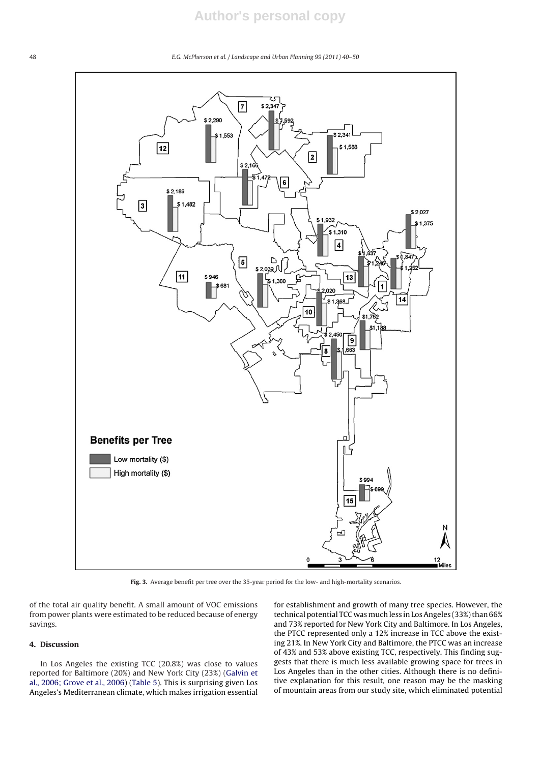48 E.G. McPherson et al. / Landscape and Urban Planning *99 (2011) 40–50*



Fig. 3. Average benefit per tree over the 35-year period for the low- and high-mortality scenarios.

of the total air quality benefit. A small amount of VOC emissions from power plants were estimated to be reduced because of energy savings.

## **4. Discussion**

In Los Angeles the existing TCC (20.8%) was close to values reported for Baltimore (20%) and New York City (23%) (Galvin et al., 2006; Grove et al., 2006) (Table 5). This is surprising given Los Angeles's Mediterranean climate, which makes irrigation essential for establishment and growth of many tree species. However, the technical potential TCC wasmuch less in Los Angeles (33%) than 66% and 73% reported for New York City and Baltimore. In Los Angeles, the PTCC represented only a 12% increase in TCC above the existing 21%. In New York City and Baltimore, the PTCC was an increase of 43% and 53% above existing TCC, respectively. This finding suggests that there is much less available growing space for trees in Los Angeles than in the other cities. Although there is no definitive explanation for this result, one reason may be the masking of mountain areas from our study site, which eliminated potential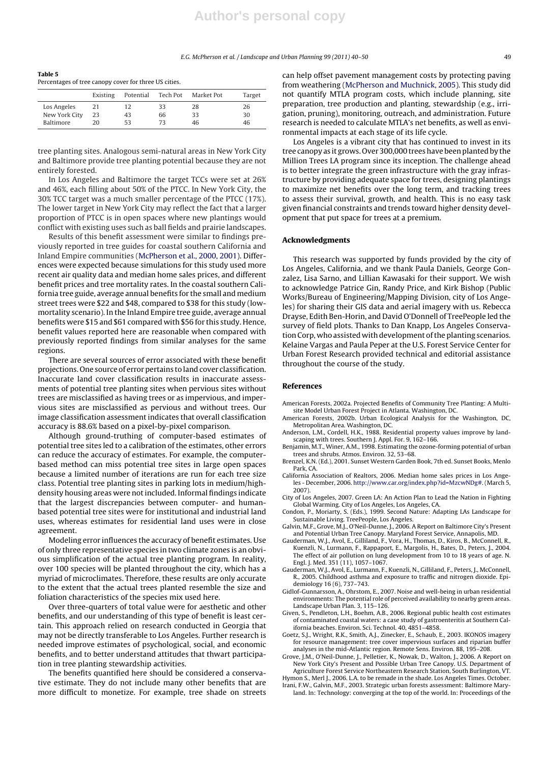| Table 5                                               |  |
|-------------------------------------------------------|--|
| Percentages of tree canopy cover for three US cities. |  |

|                              | Existing | Potential | Tech Pot | Market Pot | Target   |
|------------------------------|----------|-----------|----------|------------|----------|
| Los Angeles<br>New York City | 21<br>23 | 12<br>43  | 33<br>66 | 28<br>33   | 26<br>30 |
| <b>Baltimore</b>             | 20       | 53        | 73       | 46         | 46       |

tree planting sites. Analogous semi-natural areas in New York City and Baltimore provide tree planting potential because they are not entirely forested.

In Los Angeles and Baltimore the target TCCs were set at 26% and 46%, each filling about 50% of the PTCC. In New York City, the 30% TCC target was a much smaller percentage of the PTCC (17%). The lower target in New York City may reflect the fact that a larger proportion of PTCC is in open spaces where new plantings would conflict with existing uses such as ball fields and prairie landscapes.

Results of this benefit assessment were similar to findings previously reported in tree guides for coastal southern California and Inland Empire communities (McPherson et al., 2000, 2001). Differences were expected because simulations for this study used more recent air quality data and median home sales prices, and different benefit prices and tree mortality rates. In the coastal southern California tree guide, average annual benefits for the small and medium street trees were \$22 and \$48, compared to \$38 for this study (lowmortality scenario). In the Inland Empire tree guide, average annual benefits were \$15 and \$61 compared with \$56 for this study. Hence, benefit values reported here are reasonable when compared with previously reported findings from similar analyses for the same regions.

There are several sources of error associated with these benefit projections. One source of error pertains to land cover classification. Inaccurate land cover classification results in inaccurate assessments of potential tree planting sites when pervious sites without trees are misclassified as having trees or as impervious, and impervious sites are misclassified as pervious and without trees. Our image classification assessment indicates that overall classification accuracy is 88.6% based on a pixel-by-pixel comparison.

Although ground-truthing of computer-based estimates of potential tree sites led to a calibration of the estimates, other errors can reduce the accuracy of estimates. For example, the computerbased method can miss potential tree sites in large open spaces because a limited number of iterations are run for each tree size class. Potential tree planting sites in parking lots in medium/highdensity housing areas were not included. Informal findings indicate that the largest discrepancies between computer- and humanbased potential tree sites were for institutional and industrial land uses, whereas estimates for residential land uses were in close agreement.

Modeling error influences the accuracy of benefit estimates. Use of only three representative species in two climate zones is an obvious simplification of the actual tree planting program. In reality, over 100 species will be planted throughout the city, which has a myriad of microclimates. Therefore, these results are only accurate to the extent that the actual trees planted resemble the size and foliation characteristics of the species mix used here.

Over three-quarters of total value were for aesthetic and other benefits, and our understanding of this type of benefit is least certain. This approach relied on research conducted in Georgia that may not be directly transferable to Los Angeles. Further research is needed improve estimates of psychological, social, and economic benefits, and to better understand attitudes that thwart participation in tree planting stewardship activities.

The benefits quantified here should be considered a conservative estimate. They do not include many other benefits that are more difficult to monetize. For example, tree shade on streets can help offset pavement management costs by protecting paving from weathering (McPherson and Muchnick, 2005). This study did not quantify MTLA program costs, which include planning, site preparation, tree production and planting, stewardship (e.g., irrigation, pruning), monitoring, outreach, and administration. Future research is needed to calculate MTLA's net benefits, as well as environmental impacts at each stage of its life cycle.

Los Angeles is a vibrant city that has continued to invest in its tree canopy as it grows. Over 300,000 trees have been planted by the Million Trees LA program since its inception. The challenge ahead is to better integrate the green infrastructure with the gray infrastructure by providing adequate space for trees, designing plantings to maximize net benefits over the long term, and tracking trees to assess their survival, growth, and health. This is no easy task given financial constraints and trends toward higher density development that put space for trees at a premium.

#### **Acknowledgments**

This research was supported by funds provided by the city of Los Angeles, California, and we thank Paula Daniels, George Gonzalez, Lisa Sarno, and Lillian Kawasaki for their support. We wish to acknowledge Patrice Gin, Randy Price, and Kirk Bishop (Public Works/Bureau of Engineering/Mapping Division, city of Los Angeles) for sharing their GIS data and aerial imagery with us. Rebecca Drayse, Edith Ben-Horin, and David O'Donnell of TreePeople led the survey of field plots. Thanks to Dan Knapp, Los Angeles Conservation Corp, who assisted with development of the planting scenarios. Kelaine Vargas and Paula Peper at the U.S. Forest Service Center for Urban Forest Research provided technical and editorial assistance throughout the course of the study.

## **References**

- American Forests, 2002a. Projected Benefits of Community Tree Planting: A Multisite Model Urban Forest Project in Atlanta. Washington, DC.
- American Forests, 2002b. Urban Ecological Analysis for the Washington, DC, Metropolitan Area. Washington, DC.
- Anderson, L.M., Cordell, H.K., 1988. Residential property values improve by landscaping with trees. Southern J. Appl. For. 9, 162–166.
- Benjamin, M.T., Winer, A.M., 1998. Estimating the ozone-forming potential of urban trees and shrubs. Atmos. Environ. 32, 53–68.
- Brenzel, K.N. (Ed.), 2001. Sunset Western Garden Book, 7th ed. Sunset Books, Menlo Park, CA.
- California Association of Realtors, 2006. Median home sales prices in Los Angeles - December, 2006. http://www.car.org/index.php?id=MzcwNDg#. (March 5, 2007).
- City of Los Angeles, 2007. Green LA: An Action Plan to Lead the Nation in Fighting Global Warming. City of Los Angeles, Los Angeles, CA.
- Condon, P., Moriarty, S. (Eds.), 1999. Second Nature: Adapting LAs Landscape for Sustainable Living. TreePeople, Los Angeles.
- Galvin, M.F., Grove, M.J., O'Neil-Dunne, J., 2006. A Report on Baltimore City's Present and Potential Urban Tree Canopy. Maryland Forest Service, Annapolis, MD.
- Gauderman, W.J., Avol, E., Gilliland, F., Vora, H., Thomas, D., Kiros, B., McConnell, R., Kuenzli, N., Lurmann, F., Rappaport, E., Margolis, H., Bates, D., Peters, J., 2004. The effect of air pollution on lung development from 10 to 18 years of age. N. Engl. J. Med. 351 (11), 1057–1067.
- Gauderman, W.J., Avol, E., Lurmann, F., Kuenzli, N., Gilliland, F., Peters, J., McConnell, R., 2005. Childhood asthma and exposure to traffic and nitrogen dioxide. Epidemiology 16 (6), 737–743.
- Gidlof-Gunnarsson, A., Ohrstom, E., 2007. Noise and well-being in urban residential environments: The potential role of perceived availability to nearby green areas. Landscape Urban Plan. 3, 115–126.
- Given, S., Pendleton, L.H., Boehm, A.B., 2006. Regional public health cost estimates of contaminated coastal waters: a case study of gastroenteritis at Southern California beaches. Environ. Sci. Technol. 40, 4851–4858.
- Goetz, S.J., Wright, R.K., Smith, A.J., Zinecker, E., Schaub, E., 2003. IKONOS imagery for resource management: tree cover impervious surfaces and riparian buffer analyses in the mid-Atlantic region. Remote Sens. Environ. 88, 195–208.
- Grove, J.M., O'Neil-Dunne, J., Pelletier, K., Nowak, D., Walton, J., 2006. A Report on New York City's Present and Possible Urban Tree Canopy. U.S. Department of Agriculture Forest Service Northeastern Research Station, South Burlington, VT.
- Hymon S., Merl J., 2006. L.A. to be remade in the shade. Los Angeles Times. October. Irani, F.W., Galvin, M.F., 2003. Strategic urban forests assessment: Baltimore Mary-
- land. In: Technology: converging at the top of the world. In: Proceedings of the